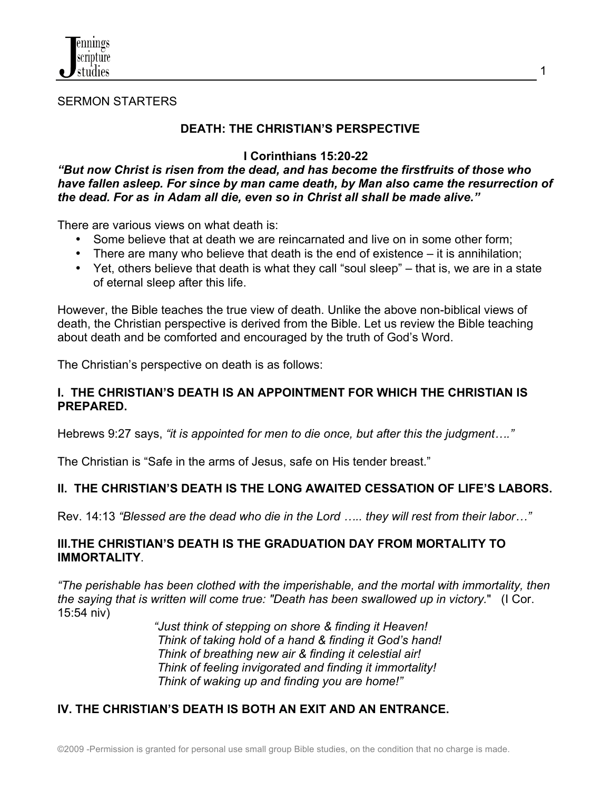

#### SERMON STARTERS

## **DEATH: THE CHRISTIAN'S PERSPECTIVE**

## **I Corinthians 15:20-22**

1

#### *"But now Christ is risen from the dead, and has become the firstfruits of those who have fallen asleep. For since by man came death, by Man also came the resurrection of the dead. For as in Adam all die, even so in Christ all shall be made alive."*

There are various views on what death is:

- Some believe that at death we are reincarnated and live on in some other form;
- There are many who believe that death is the end of existence it is annihilation;
- Yet, others believe that death is what they call "soul sleep" that is, we are in a state of eternal sleep after this life.

However, the Bible teaches the true view of death. Unlike the above non-biblical views of death, the Christian perspective is derived from the Bible. Let us review the Bible teaching about death and be comforted and encouraged by the truth of God's Word.

The Christian's perspective on death is as follows:

#### **I. THE CHRISTIAN'S DEATH IS AN APPOINTMENT FOR WHICH THE CHRISTIAN IS PREPARED.**

Hebrews 9:27 says, *"it is appointed for men to die once, but after this the judgment…."* 

The Christian is "Safe in the arms of Jesus, safe on His tender breast."

# **II. THE CHRISTIAN'S DEATH IS THE LONG AWAITED CESSATION OF LIFE'S LABORS.**

Rev. 14:13 *"Blessed are the dead who die in the Lord ….. they will rest from their labor…"*

## **III.THE CHRISTIAN'S DEATH IS THE GRADUATION DAY FROM MORTALITY TO IMMORTALITY**.

*"The perishable has been clothed with the imperishable, and the mortal with immortality, then the saying that is written will come true: "Death has been swallowed up in victory.*" (I Cor. 15:54 niv)

 *"Just think of stepping on shore & finding it Heaven! Think of taking hold of a hand & finding it God's hand! Think of breathing new air & finding it celestial air! Think of feeling invigorated and finding it immortality! Think of waking up and finding you are home!"* 

# **IV. THE CHRISTIAN'S DEATH IS BOTH AN EXIT AND AN ENTRANCE.**